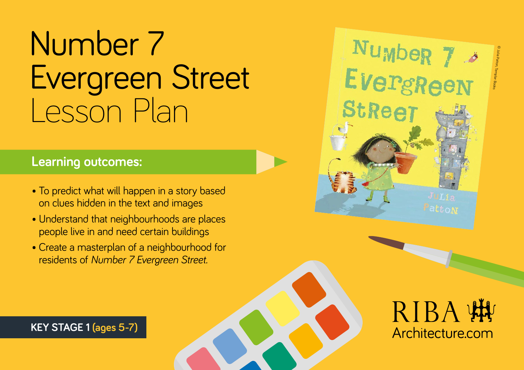# Number 7 Evergreen Street Lesson Plan

#### **Learning outcomes:**

**Key Stage 1 (ages 5-7) KEY STAGE 1 (ages 5-7)**

- To predict what will happen in a story based on clues hidden in the text and images
- Understand that neighbourhoods are places people live in and need certain buildings
- Create a masterplan of a neighbourhood for residents of *Number 7 Evergreen Street.*





Number 7

**StReet**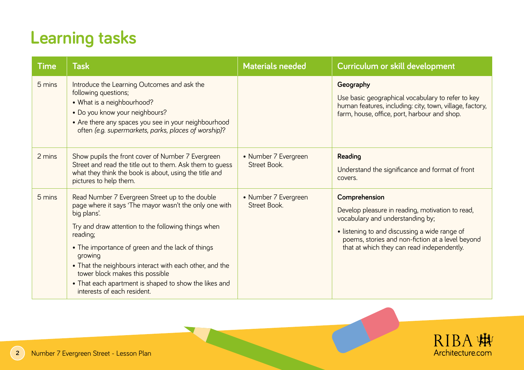## **Learning tasks**

| <b>Time</b> | <b>Task</b>                                                                                                                                                                                                                                                                                                                                                                                                                                      | <b>Materials needed</b>              | Curriculum or skill development                                                                                                                                                                                                                          |
|-------------|--------------------------------------------------------------------------------------------------------------------------------------------------------------------------------------------------------------------------------------------------------------------------------------------------------------------------------------------------------------------------------------------------------------------------------------------------|--------------------------------------|----------------------------------------------------------------------------------------------------------------------------------------------------------------------------------------------------------------------------------------------------------|
| 5 mins      | Introduce the Learning Outcomes and ask the<br>following questions;<br>• What is a neighbourhood?<br>. Do you know your neighbours?<br>• Are there any spaces you see in your neighbourhood<br>often (e.g. supermarkets, parks, places of worship)?                                                                                                                                                                                              |                                      | Geography<br>Use basic geographical vocabulary to refer to key<br>human features, including: city, town, village, factory,<br>farm, house, office, port, harbour and shop.                                                                               |
| 2 mins      | Show pupils the front cover of Number 7 Evergreen<br>Street and read the title out to them. Ask them to guess<br>what they think the book is about, using the title and<br>pictures to help them.                                                                                                                                                                                                                                                | • Number 7 Evergreen<br>Street Book. | Reading<br>Understand the significance and format of front<br>covers.                                                                                                                                                                                    |
| 5 mins      | Read Number 7 Evergreen Street up to the double<br>page where it says 'The mayor wasn't the only one with<br>big plans'.<br>Try and draw attention to the following things when<br>reading;<br>• The importance of green and the lack of things<br>growing<br>• That the neighbours interact with each other, and the<br>tower block makes this possible<br>• That each apartment is shaped to show the likes and<br>interests of each resident. | • Number 7 Evergreen<br>Street Book. | Comprehension<br>Develop pleasure in reading, motivation to read,<br>vocabulary and understanding by;<br>· listening to and discussing a wide range of<br>poems, stories and non-fiction at a level beyond<br>that at which they can read independently. |

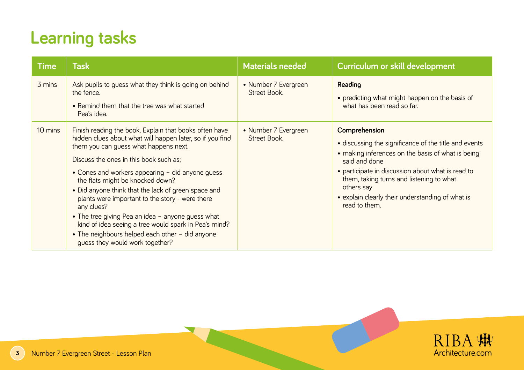## **Learning tasks**

| <b>Time</b> | <b>Task</b>                                                                                                                                                                                                                                                                                                                                                                                                                                                                                                                                                                                                                | <b>Materials needed</b>              | Curriculum or skill development                                                                                                                                                                                                                                                                                                  |
|-------------|----------------------------------------------------------------------------------------------------------------------------------------------------------------------------------------------------------------------------------------------------------------------------------------------------------------------------------------------------------------------------------------------------------------------------------------------------------------------------------------------------------------------------------------------------------------------------------------------------------------------------|--------------------------------------|----------------------------------------------------------------------------------------------------------------------------------------------------------------------------------------------------------------------------------------------------------------------------------------------------------------------------------|
| 3 mins      | Ask pupils to guess what they think is going on behind<br>the fence.<br>• Remind them that the tree was what started<br>Pea's idea.                                                                                                                                                                                                                                                                                                                                                                                                                                                                                        | • Number 7 Evergreen<br>Street Book. | Reading<br>• predicting what might happen on the basis of<br>what has been read so far.                                                                                                                                                                                                                                          |
| 10 mins     | Finish reading the book. Explain that books often have<br>hidden clues about what will happen later, so if you find<br>them you can guess what happens next.<br>Discuss the ones in this book such as;<br>• Cones and workers appearing - did anyone guess<br>the flats might be knocked down?<br>• Did anyone think that the lack of green space and<br>plants were important to the story - were there<br>any clues?<br>• The tree giving Pea an idea - anyone guess what<br>kind of idea seeing a tree would spark in Pea's mind?<br>• The neighbours helped each other - did anyone<br>guess they would work together? | • Number 7 Evergreen<br>Street Book. | Comprehension<br>· discussing the significance of the title and events<br>• making inferences on the basis of what is being<br>said and done<br>• participate in discussion about what is read to<br>them, taking turns and listening to what<br>others say<br>• explain clearly their understanding of what is<br>read to them. |

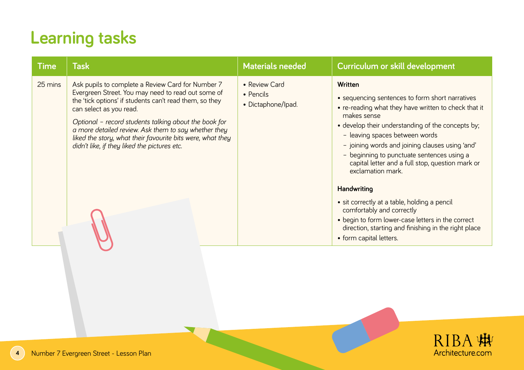## **Learning tasks**

| <b>Time</b> | <b>Task</b>                                                                                                                                                                                                                                                                                                                                                                                                                  | <b>Materials needed</b>                          | Curriculum or skill development                                                                                                                                                                                                                                                                                                                                                                                                                                                                                                                                                                             |
|-------------|------------------------------------------------------------------------------------------------------------------------------------------------------------------------------------------------------------------------------------------------------------------------------------------------------------------------------------------------------------------------------------------------------------------------------|--------------------------------------------------|-------------------------------------------------------------------------------------------------------------------------------------------------------------------------------------------------------------------------------------------------------------------------------------------------------------------------------------------------------------------------------------------------------------------------------------------------------------------------------------------------------------------------------------------------------------------------------------------------------------|
| 25 mins     | Ask pupils to complete a Review Card for Number 7<br>Evergreen Street. You may need to read out some of<br>the 'tick options' if students can't read them, so they<br>can select as you read.<br>Optional - record students talking about the book for<br>a more detailed review. Ask them to say whether they<br>liked the story, what their favourite bits were, what they<br>didn't like, if they liked the pictures etc. | • Review Card<br>• Pencils<br>• Dictaphone/Ipad. | Written<br>• sequencing sentences to form short narratives<br>• re-reading what they have written to check that it<br>makes sense<br>• develop their understanding of the concepts by;<br>- leaving spaces between words<br>- joining words and joining clauses using 'and'<br>- beginning to punctuate sentences using a<br>capital letter and a full stop, question mark or<br>exclamation mark.<br>Handwriting<br>• sit correctly at a table, holding a pencil<br>comfortably and correctly<br>• begin to form lower-case letters in the correct<br>direction, starting and finishing in the right place |
|             |                                                                                                                                                                                                                                                                                                                                                                                                                              |                                                  | • form capital letters.                                                                                                                                                                                                                                                                                                                                                                                                                                                                                                                                                                                     |

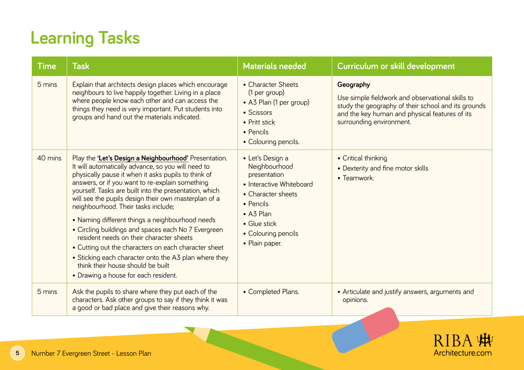## **Learning Tasks**

| <b>Time</b> | <b>Task</b>                                                                                                                                                                                                                                                                                                                                                                                                                                                                                                                                                                                                                                                                                                                        | <b>Materials needed</b>                                                                                                                                                                | Curriculum or skill development                                                                                                                                                                    |
|-------------|------------------------------------------------------------------------------------------------------------------------------------------------------------------------------------------------------------------------------------------------------------------------------------------------------------------------------------------------------------------------------------------------------------------------------------------------------------------------------------------------------------------------------------------------------------------------------------------------------------------------------------------------------------------------------------------------------------------------------------|----------------------------------------------------------------------------------------------------------------------------------------------------------------------------------------|----------------------------------------------------------------------------------------------------------------------------------------------------------------------------------------------------|
| 5 mins      | Explain that architects design places which encourage<br>neighbours to live happily together. Living in a place<br>where people know each other and can access the<br>things they need is very important. Put students into<br>groups and hand out the materials indicated.                                                                                                                                                                                                                                                                                                                                                                                                                                                        | • Character Sheets<br>(1 per group)<br>• A3 Plan (1 per group)<br>• Scissors<br>• Pritt stick<br>• Pencils<br>• Colouring pencils.                                                     | Geography<br>Use simple fieldwork and observational skills to<br>study the geography of their school and its grounds<br>and the key human and physical features of its<br>surrounding environment. |
| 40 mins     | Play the 'Let's Design a Neighbourhood' Presentation.<br>It will automatically advance, so you will need to<br>physically pause it when it asks pupils to think of<br>answers, or if you want to re-explain something<br>yourself. Tasks are built into the presentation, which<br>will see the pupils design their own masterplan of a<br>neighbourhood. Their tasks include;<br>• Naming different things a neighbourhood needs<br>• Circling buildings and spaces each No 7 Evergreen<br>resident needs on their character sheets<br>• Cutting out the characters on each character sheet<br>• Sticking each character onto the A3 plan where they<br>think their house should be built<br>• Drawing a house for each resident. | • Let's Design a<br>Neighbourhood<br>presentation<br>• Interactive Whiteboard<br>• Character sheets<br>• Pencils<br>• A3 Plan<br>• Glue stick<br>• Colouring pencils<br>• Plain paper. | • Critical thinking<br>• Dexterity and fine motor skills<br>• Teamwork.                                                                                                                            |
| 5 mins      | Ask the pupils to share where they put each of the<br>characters. Ask other groups to say if they think it was<br>a good or bad place and give their reasons why.                                                                                                                                                                                                                                                                                                                                                                                                                                                                                                                                                                  | • Completed Plans.                                                                                                                                                                     | • Articulate and justify answers, arguments and<br>opinions.                                                                                                                                       |

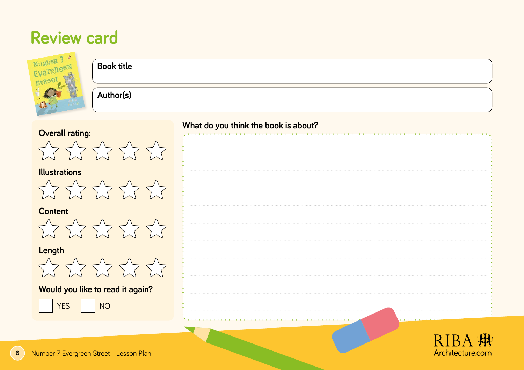#### **Review card**

| Number<br><b>Book title</b><br>EvergR<br>Stree              |                                      |
|-------------------------------------------------------------|--------------------------------------|
| Author(s)                                                   |                                      |
| <b>Overall rating:</b>                                      | What do you think the book is about? |
| WWWWW                                                       |                                      |
| <b>Illustrations</b><br>272227                              |                                      |
| <b>Content</b><br>WYWWW                                     |                                      |
| Length<br>X X X X X                                         |                                      |
| Would you like to read it again?<br><b>NO</b><br><b>YES</b> |                                      |
|                                                             |                                      |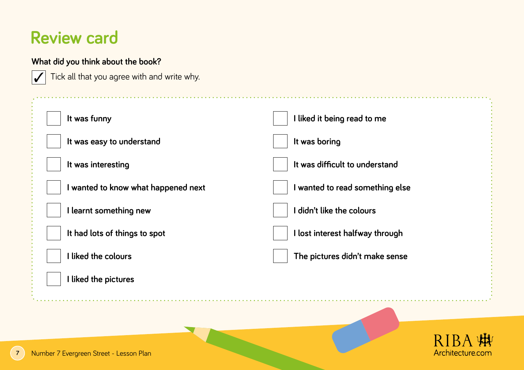#### **Review card**

**What did you think about the book?** 

#### Tick all that you agree with and write why.  **It was funny It was easy to understand It was interesting I wanted to know what happened next I learnt something new It had lots of things to spot I liked the colours I liked the pictures I liked it being read to me It was boring It was difficult to understand I wanted to read something else I didn't like the colours I lost interest halfway through The pictures didn't make sense** ✓

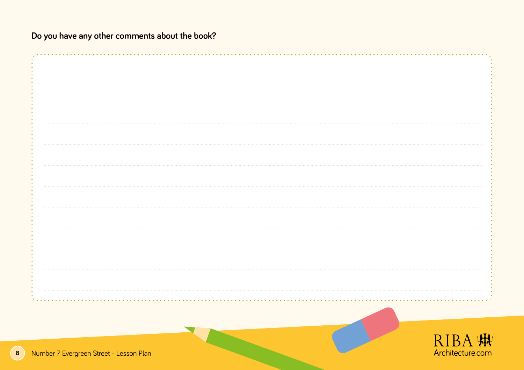**Do you have any other comments about the book?** 

|                                         |  | RIBA 蝴           |
|-----------------------------------------|--|------------------|
|                                         |  |                  |
| Number 7 Evergreen Street - Lesson Plan |  | Architecture.com |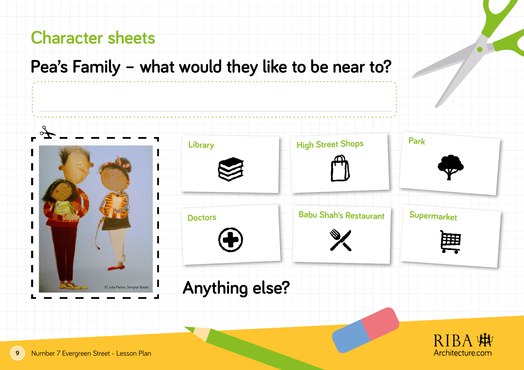#### **Pea's Family – what would they like to be near to?**

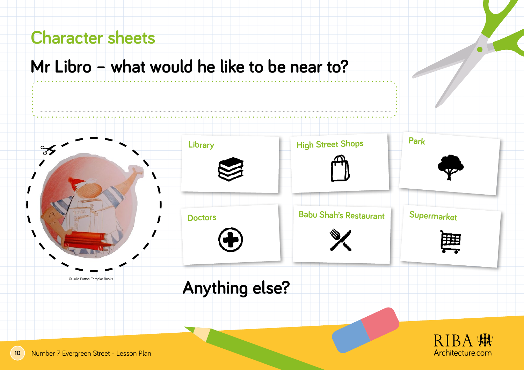#### **Mr Libro – what would he like to be near to?**

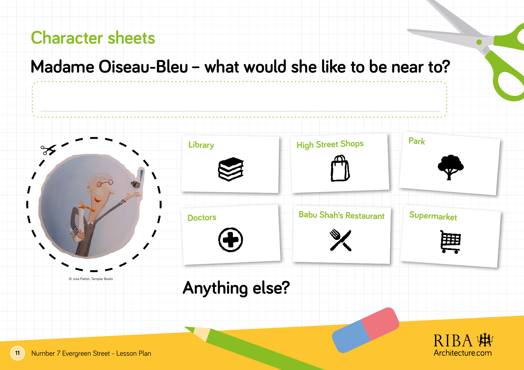#### **Madame Oiseau-Bleu – what would she like to be near to?**

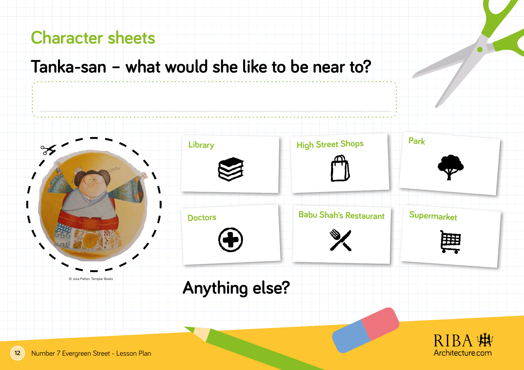#### **Tanka-san – what would she like to be near to?**

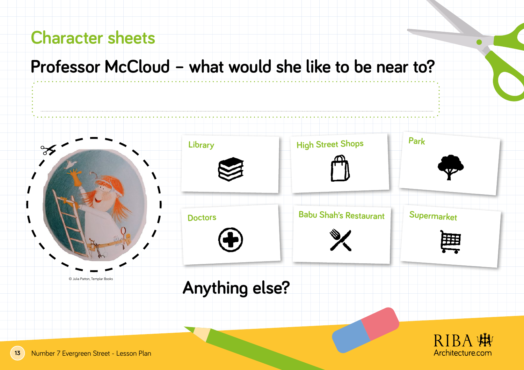#### **Professor McCloud – what would she like to be near to?**

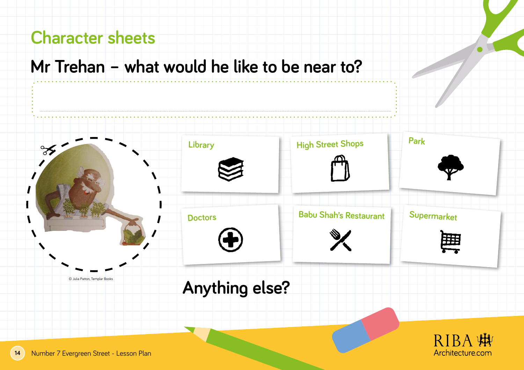#### **Mr Trehan – what would he like to be near to?**